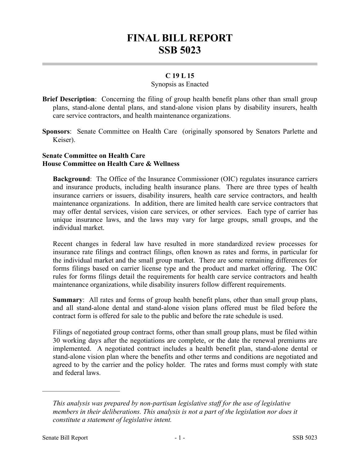# **FINAL BILL REPORT SSB 5023**

## **C 19 L 15**

### Synopsis as Enacted

- **Brief Description**: Concerning the filing of group health benefit plans other than small group plans, stand-alone dental plans, and stand-alone vision plans by disability insurers, health care service contractors, and health maintenance organizations.
- **Sponsors**: Senate Committee on Health Care (originally sponsored by Senators Parlette and Keiser).

## **Senate Committee on Health Care House Committee on Health Care & Wellness**

**Background**: The Office of the Insurance Commissioner (OIC) regulates insurance carriers and insurance products, including health insurance plans. There are three types of health insurance carriers or issuers, disability insurers, health care service contractors, and health maintenance organizations. In addition, there are limited health care service contractors that may offer dental services, vision care services, or other services. Each type of carrier has unique insurance laws, and the laws may vary for large groups, small groups, and the individual market.

Recent changes in federal law have resulted in more standardized review processes for insurance rate filings and contract filings, often known as rates and forms, in particular for the individual market and the small group market. There are some remaining differences for forms filings based on carrier license type and the product and market offering. The OIC rules for forms filings detail the requirements for health care service contractors and health maintenance organizations, while disability insurers follow different requirements.

**Summary**: All rates and forms of group health benefit plans, other than small group plans, and all stand-alone dental and stand-alone vision plans offered must be filed before the contract form is offered for sale to the public and before the rate schedule is used.

Filings of negotiated group contract forms, other than small group plans, must be filed within 30 working days after the negotiations are complete, or the date the renewal premiums are implemented. A negotiated contract includes a health benefit plan, stand-alone dental or stand-alone vision plan where the benefits and other terms and conditions are negotiated and agreed to by the carrier and the policy holder. The rates and forms must comply with state and federal laws.

––––––––––––––––––––––

*This analysis was prepared by non-partisan legislative staff for the use of legislative members in their deliberations. This analysis is not a part of the legislation nor does it constitute a statement of legislative intent.*